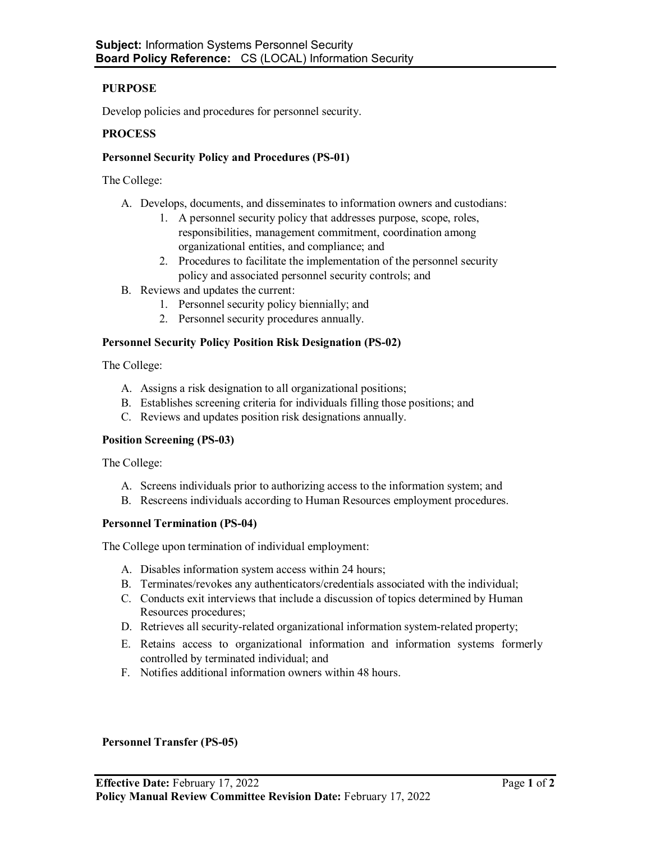## **PURPOSE**

Develop policies and procedures for personnel security.

### **PROCESS**

### **Personnel Security Policy and Procedures (PS-01)**

The College:

- A. Develops, documents, and disseminates to information owners and custodians:
	- 1. A personnel security policy that addresses purpose, scope, roles, responsibilities, management commitment, coordination among organizational entities, and compliance; and
	- 2. Procedures to facilitate the implementation of the personnel security policy and associated personnel security controls; and
- B. Reviews and updates the current:
	- 1. Personnel security policy biennially; and
	- 2. Personnel security procedures annually.

### **Personnel Security Policy Position Risk Designation (PS-02)**

The College:

- A. Assigns a risk designation to all organizational positions;
- B. Establishes screening criteria for individuals filling those positions; and
- C. Reviews and updates position risk designations annually.

#### **Position Screening (PS-03)**

The College:

- A. Screens individuals prior to authorizing access to the information system; and
- B. Rescreens individuals according to Human Resources employment procedures.

#### **Personnel Termination (PS-04)**

The College upon termination of individual employment:

- A. Disables information system access within 24 hours;
- B. Terminates/revokes any authenticators/credentials associated with the individual;
- C. Conducts exit interviews that include a discussion of topics determined by Human Resources procedures;
- D. Retrieves all security-related organizational information system-related property;
- E. Retains access to organizational information and information systems formerly controlled by terminated individual; and
- F. Notifies additional information owners within 48 hours.

## **Personnel Transfer (PS-05)**